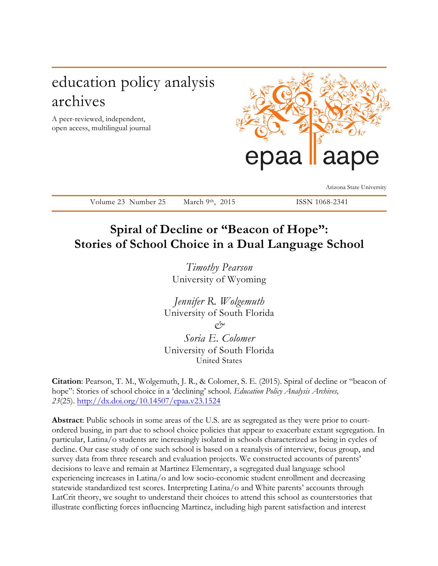# education policy analysis archives

A peer-reviewed, independent, open access, multilingual journal



Arizona State University

Volume 23 Number 25 March 9<sup>th</sup>, 2015 ISSN 1068-2341

## **Spiral of Decline or "Beacon of Hope": Stories of School Choice in a Dual Language School**

*Timothy Pearson* University of Wyoming

*Jennifer R. Wolgemuth* University of South Florida  $\alpha$ <sup>2</sup> *Soria E. Colomer*

University of South Florida United States

**Citation**: Pearson, T. M., Wolgemuth, J. R., & Colomer, S. E. (2015). Spiral of decline or "beacon of hope": Stories of school choice in a 'declining' school. *Education Policy Analysis Archives, 23*(25). http://dx.doi.org/10.14507/epaa.v23.1524

**Abstract**: Public schools in some areas of the U.S. are as segregated as they were prior to courtordered busing, in part due to school choice policies that appear to exacerbate extant segregation. In particular, Latina/o students are increasingly isolated in schools characterized as being in cycles of decline. Our case study of one such school is based on a reanalysis of interview, focus group, and survey data from three research and evaluation projects. We constructed accounts of parents' decisions to leave and remain at Martinez Elementary, a segregated dual language school experiencing increases in Latina/o and low socio-economic student enrollment and decreasing statewide standardized test scores. Interpreting Latina/o and White parents' accounts through LatCrit theory, we sought to understand their choices to attend this school as counterstories that illustrate conflicting forces influencing Martinez, including high parent satisfaction and interest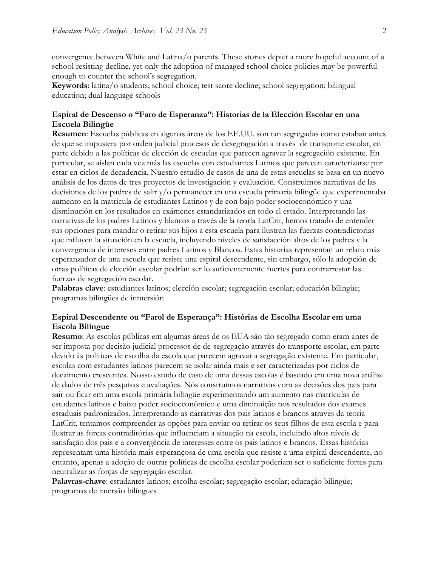convergence between White and Latina/o parents. These stories depict a more hopeful account of a school resisting decline, yet only the adoption of managed school choice policies may be powerful enough to counter the school's segregation.

**Keywords**: latina/o students; school choice; test score decline; school segregation; bilingual education; dual language schools

#### **Espiral de Descenso o "Faro de Esperanza": Historias de la Elección Escolar en una Escuela Bilingüe**

**Resumen**: Escuelas públicas en algunas áreas de los EE.UU. son tan segregadas como estaban antes de que se impusiera por orden judicial procesos de desegragación a través de transporte escolar, en parte debido a las políticas de elección de escuelas que parecen agravar la segregación existente. En particular, se aíslan cada vez más las escuelas con estudiantes Latinos que parecen caracterizarse por estar en ciclos de decadencia. Nuestro estudio de casos de una de estas escuelas se basa en un nuevo análisis de los datos de tres proyectos de investigación y evaluación. Construimos narrativas de las decisiones de los padres de salir y/o permanecer en una escuela primaria bilingüe que experimentaba aumento en la matrícula de estudiantes Latinos y de con bajo poder socioeconómico y una disminución en los resultados en exámenes estandarizados en todo el estado. Interpretando las narrativas de los padres Latinos y blancos a través de la teoría LatCrit, hemos tratado de entender sus opciones para mandar o retirar sus hijos a esta escuela para ilustran las fuerzas contradictorias que influyen la situación en la escuela, incluyendo niveles de satisfacción altos de los padres y la convergencia de intereses entre padres Latinos y Blancos. Estas historias representan un relato más esperanzador de una escuela que resiste una espiral descendente, sin embargo, sólo la adopción de otras políticas de elección escolar podrían ser lo suficientemente fuertes para contrarrestar las fuerzas de segregación escolar.

**Palabras clave**: estudiantes latinos; elección escolar; segregación escolar; educación bilingüe; programas bilingües de inmersión

#### **Espiral Descendente ou "Farol de Esperança": Histórias de Escolha Escolar em uma Escola Bilíngue**

**Resumo**: As escolas públicas em algumas áreas de os EUA são tão segregado como eram antes de ser imposta por decisão judicial processos de de-segregação através do transporte escolar, em parte devido às políticas de escolha da escola que parecem agravar a segregação existente. Em particular, escolas com estudantes latinos parecem se isolar ainda mais e ser caracterizadas por ciclos de decaimento crescentes. Nosso estudo de caso de uma dessas escolas é baseado em uma nova análise de dados de três pesquisas e avaliações. Nós construimos narrativas com as decisões dos pais para sair ou ficar em uma escola primária bilíngüe experimentando um aumento nas matrículas de estudantes latinos e baixo poder socioeconômico e uma diminuição nos resultados dos exames estaduais padronizados. Interpretando as narrativas dos pais latinos e brancos através da teoria LatCrit, tentamos compreender as opções para enviar ou retirar os seus filhos de esta escola e para ilustrar as forças contraditórias que influenciam a situação na escola, incluindo altos níveis de satisfação dos pais e a convergência de interesses entre os pais latinos e brancos. Essas histórias representam uma história mais esperançosa de uma escola que resiste a uma espiral descendente, no entanto, apenas a adoção de outras políticas de escolha escolar poderiam ser o suficiente fortes para neutralizar as forças de segregação escolar.

**Palavras-chave**: estudantes latinos; escolha escolar; segregação escolar; educação bilíngüe; programas de imersão bilíngues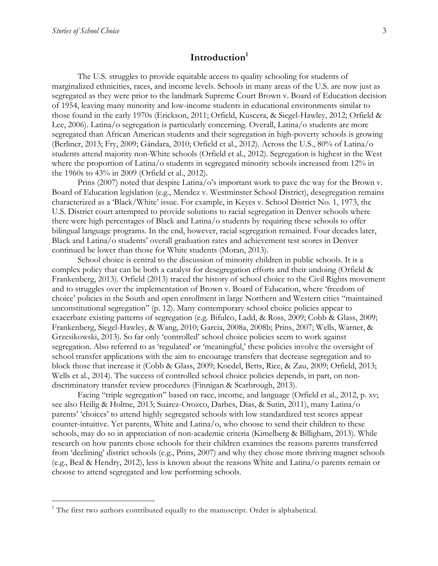## **Introduction1**

The U.S. struggles to provide equitable access to quality schooling for students of marginalized ethnicities, races, and income levels. Schools in many areas of the U.S. are now just as segregated as they were prior to the landmark Supreme Court Brown v. Board of Education decision of 1954, leaving many minority and low-income students in educational environments similar to those found in the early 1970s (Erickson, 2011; Orfield, Kuscera, & Siegel-Hawley, 2012; Orfield & Lee, 2006). Latina/o segregation is particularly concerning. Overall, Latina/o students are more segregated than African American students and their segregation in high-poverty schools is growing (Berliner, 2013; Fry, 2009; Gándara, 2010; Orfield et al., 2012). Across the U.S., 80% of Latina/o students attend majority non-White schools (Orfield et al., 2012). Segregation is highest in the West where the proportion of Latina/o students in segregated minority schools increased from 12% in the 1960s to 43% in 2009 (Orfield et al., 2012).

Prins (2007) noted that despite Latina/o's important work to pave the way for the Brown v. Board of Education legislation (e.g., Mendez v. Westminster School District), desegregation remains characterized as a 'Black/White' issue. For example, in Keyes v. School District No. 1, 1973, the U.S. District court attempted to provide solutions to racial segregation in Denver schools where there were high percentages of Black and Latina/o students by requiring these schools to offer bilingual language programs. In the end, however, racial segregation remained. Four decades later, Black and Latina/o students' overall graduation rates and achievement test scores in Denver continued be lower than those for White students (Moran, 2013).

School choice is central to the discussion of minority children in public schools. It is a complex policy that can be both a catalyst for desegregation efforts and their undoing (Orfield & Frankenberg, 2013). Orfield (2013) traced the history of school choice to the Civil Rights movement and to struggles over the implementation of Brown v. Board of Education, where 'freedom of choice' policies in the South and open enrollment in large Northern and Western cities "maintained unconstitutional segregation" (p. 12). Many contemporary school choice policies appear to exacerbate existing patterns of segregation (e.g. Bifulco, Ladd, & Ross, 2009; Cobb & Glass, 2009; Frankenberg, Siegel-Hawley, & Wang, 2010; Garcia, 2008a, 2008b; Prins, 2007; Wells, Warner, & Grzesikowski, 2013). So far only 'controlled' school choice policies seem to work against segregation. Also referred to as 'regulated' or 'meaningful,' these policies involve the oversight of school transfer applications with the aim to encourage transfers that decrease segregation and to block those that increase it (Cobb & Glass, 2009; Koedel, Betts, Rice, & Zau, 2009; Orfield, 2013; Wells et al., 2014). The success of controlled school choice policies depends, in part, on nondiscriminatory transfer review procedures (Finnigan & Scarbrough, 2013).

Facing "triple segregation" based on race, income, and language (Orfield et al., 2012, p. xv; see also Heilig & Holme, 2013; Suárez-Orozco, Darbes, Dias, & Sutin, 2011), many Latina/o parents' 'choices' to attend highly segregated schools with low standardized test scores appear counter-intuitive. Yet parents, White and Latina/o, who choose to send their children to these schools, may do so in appreciation of non-academic criteria (Kimelberg & Billigham, 2013). While research on how parents chose schools for their children examines the reasons parents transferred from 'declining' district schools (e.g., Prins, 2007) and why they chose more thriving magnet schools (e.g., Beal & Hendry, 2012), less is known about the reasons White and Latina/o parents remain or choose to attend segregated and low performing schools.

 $1$  The first two authors contributed equally to the manuscript. Order is alphabetical.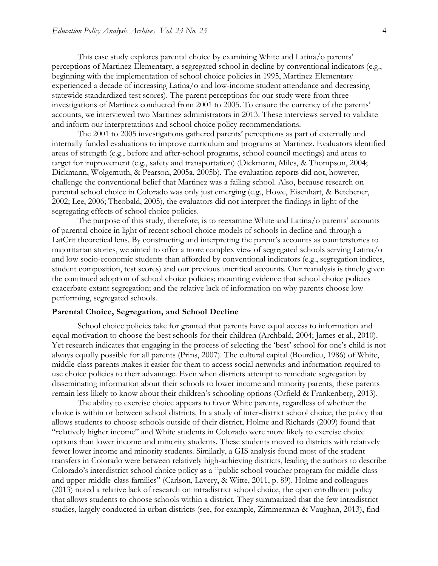This case study explores parental choice by examining White and Latina/o parents' perceptions of Martinez Elementary, a segregated school in decline by conventional indicators (e.g., beginning with the implementation of school choice policies in 1995, Martinez Elementary experienced a decade of increasing Latina/o and low-income student attendance and decreasing statewide standardized test scores). The parent perceptions for our study were from three investigations of Martinez conducted from 2001 to 2005. To ensure the currency of the parents' accounts, we interviewed two Martinez administrators in 2013. These interviews served to validate and inform our interpretations and school choice policy recommendations.

The 2001 to 2005 investigations gathered parents' perceptions as part of externally and internally funded evaluations to improve curriculum and programs at Martinez. Evaluators identified areas of strength (e.g., before and after-school programs, school council meetings) and areas to target for improvement (e.g., safety and transportation) (Dickmann, Miles, & Thompson, 2004; Dickmann, Wolgemuth, & Pearson, 2005a, 2005b). The evaluation reports did not, however, challenge the conventional belief that Martinez was a failing school. Also, because research on parental school choice in Colorado was only just emerging (e.g., Howe, Eisenhart, & Betebener, 2002; Lee, 2006; Theobald, 2005), the evaluators did not interpret the findings in light of the segregating effects of school choice policies.

The purpose of this study, therefore, is to reexamine White and Latina/o parents' accounts of parental choice in light of recent school choice models of schools in decline and through a LatCrit theoretical lens. By constructing and interpreting the parent's accounts as counterstories to majoritarian stories, we aimed to offer a more complex view of segregated schools serving Latina/o and low socio-economic students than afforded by conventional indicators (e.g., segregation indices, student composition, test scores) and our previous uncritical accounts. Our reanalysis is timely given the continued adoption of school choice policies; mounting evidence that school choice policies exacerbate extant segregation; and the relative lack of information on why parents choose low performing, segregated schools.

#### **Parental Choice, Segregation, and School Decline**

School choice policies take for granted that parents have equal access to information and equal motivation to choose the best schools for their children (Archbald, 2004; James et al., 2010). Yet research indicates that engaging in the process of selecting the 'best' school for one's child is not always equally possible for all parents (Prins, 2007). The cultural capital (Bourdieu, 1986) of White, middle-class parents makes it easier for them to access social networks and information required to use choice policies to their advantage. Even when districts attempt to remediate segregation by disseminating information about their schools to lower income and minority parents, these parents remain less likely to know about their children's schooling options (Orfield & Frankenberg, 2013).

The ability to exercise choice appears to favor White parents, regardless of whether the choice is within or between school districts. In a study of inter-district school choice, the policy that allows students to choose schools outside of their district, Holme and Richards (2009) found that "relatively higher income" and White students in Colorado were more likely to exercise choice options than lower income and minority students. These students moved to districts with relatively fewer lower income and minority students. Similarly, a GIS analysis found most of the student transfers in Colorado were between relatively high-achieving districts, leading the authors to describe Colorado's interdistrict school choice policy as a "public school voucher program for middle-class and upper-middle-class families" (Carlson, Lavery, & Witte, 2011, p. 89). Holme and colleagues (2013) noted a relative lack of research on intradistrict school choice, the open enrollment policy that allows students to choose schools within a district. They summarized that the few intradistrict studies, largely conducted in urban districts (see, for example, Zimmerman & Vaughan, 2013), find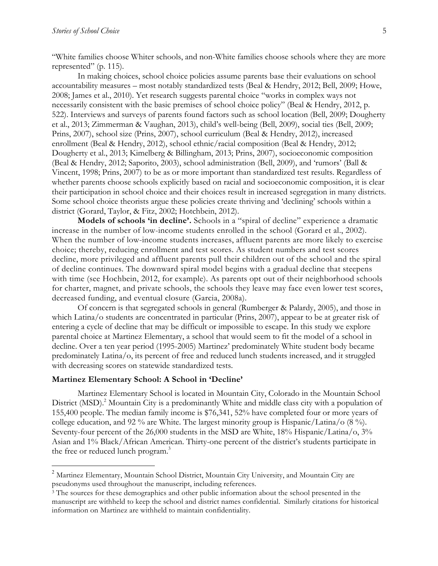"White families choose Whiter schools, and non-White families choose schools where they are more represented" (p. 115).

In making choices, school choice policies assume parents base their evaluations on school accountability measures – most notably standardized tests (Beal & Hendry, 2012; Bell, 2009; Howe, 2008; James et al., 2010). Yet research suggests parental choice "works in complex ways not necessarily consistent with the basic premises of school choice policy" (Beal & Hendry, 2012, p. 522). Interviews and surveys of parents found factors such as school location (Bell, 2009; Dougherty et al., 2013; Zimmerman & Vaughan, 2013), child's well-being (Bell, 2009), social ties (Bell, 2009; Prins, 2007), school size (Prins, 2007), school curriculum (Beal & Hendry, 2012), increased enrollment (Beal & Hendry, 2012), school ethnic/racial composition (Beal & Hendry, 2012; Dougherty et al., 2013; Kimelberg & Billingham, 2013; Prins, 2007), socioeconomic composition (Beal & Hendry, 2012; Saporito, 2003), school administration (Bell, 2009), and 'rumors' (Ball & Vincent, 1998; Prins, 2007) to be as or more important than standardized test results. Regardless of whether parents choose schools explicitly based on racial and socioeconomic composition, it is clear their participation in school choice and their choices result in increased segregation in many districts. Some school choice theorists argue these policies create thriving and 'declining' schools within a district (Gorard, Taylor, & Fitz, 2002; Hotchbein, 2012).

**Models of schools 'in decline'.** Schools in a "spiral of decline" experience a dramatic increase in the number of low-income students enrolled in the school (Gorard et al., 2002). When the number of low-income students increases, affluent parents are more likely to exercise choice; thereby, reducing enrollment and test scores. As student numbers and test scores decline, more privileged and affluent parents pull their children out of the school and the spiral of decline continues. The downward spiral model begins with a gradual decline that steepens with time (see Hochbein, 2012, for example). As parents opt out of their neighborhood schools for charter, magnet, and private schools, the schools they leave may face even lower test scores, decreased funding, and eventual closure (Garcia, 2008a).

Of concern is that segregated schools in general (Rumberger & Palardy, 2005), and those in which Latina/o students are concentrated in particular (Prins, 2007), appear to be at greater risk of entering a cycle of decline that may be difficult or impossible to escape. In this study we explore parental choice at Martinez Elementary, a school that would seem to fit the model of a school in decline. Over a ten year period (1995-2005) Martinez' predominately White student body became predominately Latina/o, its percent of free and reduced lunch students increased, and it struggled with decreasing scores on statewide standardized tests.

#### **Martinez Elementary School: A School in 'Decline'**

Martinez Elementary School is located in Mountain City, Colorado in the Mountain School District (MSD). <sup>2</sup> Mountain City is a predominantly White and middle class city with a population of 155,400 people. The median family income is \$76,341, 52% have completed four or more years of college education, and 92 % are White. The largest minority group is Hispanic/Latina/o (8 %). Seventy-four percent of the 26,000 students in the MSD are White, 18% Hispanic/Latina/o, 3% Asian and 1% Black/African American. Thirty-one percent of the district's students participate in the free or reduced lunch program.<sup>3</sup>

<sup>&</sup>lt;sup>2</sup> Martinez Elementary, Mountain School District, Mountain City University, and Mountain City are pseudonyms used throughout the manuscript, including references.

<sup>&</sup>lt;sup>3</sup> The sources for these demographics and other public information about the school presented in the manuscript are withheld to keep the school and district names confidential. Similarly citations for historical information on Martinez are withheld to maintain confidentiality.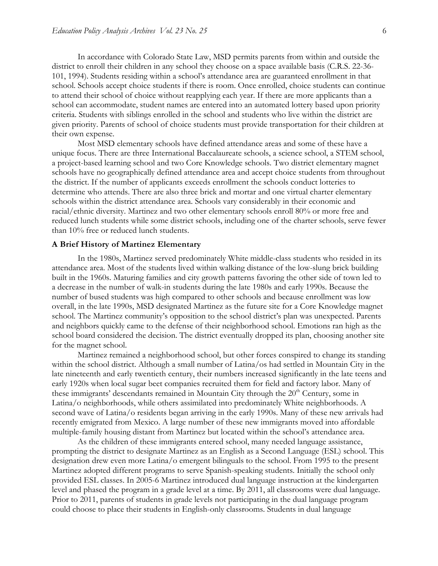In accordance with Colorado State Law, MSD permits parents from within and outside the district to enroll their children in any school they choose on a space available basis (C.R.S. 22-36- 101, 1994). Students residing within a school's attendance area are guaranteed enrollment in that school. Schools accept choice students if there is room. Once enrolled, choice students can continue to attend their school of choice without reapplying each year. If there are more applicants than a school can accommodate, student names are entered into an automated lottery based upon priority criteria. Students with siblings enrolled in the school and students who live within the district are given priority. Parents of school of choice students must provide transportation for their children at their own expense.

Most MSD elementary schools have defined attendance areas and some of these have a unique focus. There are three International Baccalaureate schools, a science school, a STEM school, a project-based learning school and two Core Knowledge schools. Two district elementary magnet schools have no geographically defined attendance area and accept choice students from throughout the district. If the number of applicants exceeds enrollment the schools conduct lotteries to determine who attends. There are also three brick and mortar and one virtual charter elementary schools within the district attendance area. Schools vary considerably in their economic and racial/ethnic diversity. Martinez and two other elementary schools enroll 80% or more free and reduced lunch students while some district schools, including one of the charter schools, serve fewer than 10% free or reduced lunch students.

#### **A Brief History of Martinez Elementary**

In the 1980s, Martinez served predominately White middle-class students who resided in its attendance area. Most of the students lived within walking distance of the low-slung brick building built in the 1960s. Maturing families and city growth patterns favoring the other side of town led to a decrease in the number of walk-in students during the late 1980s and early 1990s. Because the number of bused students was high compared to other schools and because enrollment was low overall, in the late 1990s, MSD designated Martinez as the future site for a Core Knowledge magnet school. The Martinez community's opposition to the school district's plan was unexpected. Parents and neighbors quickly came to the defense of their neighborhood school. Emotions ran high as the school board considered the decision. The district eventually dropped its plan, choosing another site for the magnet school.

Martinez remained a neighborhood school, but other forces conspired to change its standing within the school district. Although a small number of Latina/os had settled in Mountain City in the late nineteenth and early twentieth century, their numbers increased significantly in the late teens and early 1920s when local sugar beet companies recruited them for field and factory labor. Many of these immigrants' descendants remained in Mountain City through the  $20<sup>th</sup>$  Century, some in Latina/o neighborhoods, while others assimilated into predominately White neighborhoods. A second wave of Latina/o residents began arriving in the early 1990s. Many of these new arrivals had recently emigrated from Mexico. A large number of these new immigrants moved into affordable multiple-family housing distant from Martinez but located within the school's attendance area.

As the children of these immigrants entered school, many needed language assistance, prompting the district to designate Martinez as an English as a Second Language (ESL) school. This designation drew even more Latina/o emergent bilinguals to the school. From 1995 to the present Martinez adopted different programs to serve Spanish-speaking students. Initially the school only provided ESL classes. In 2005-6 Martinez introduced dual language instruction at the kindergarten level and phased the program in a grade level at a time. By 2011, all classrooms were dual language. Prior to 2011, parents of students in grade levels not participating in the dual language program could choose to place their students in English-only classrooms. Students in dual language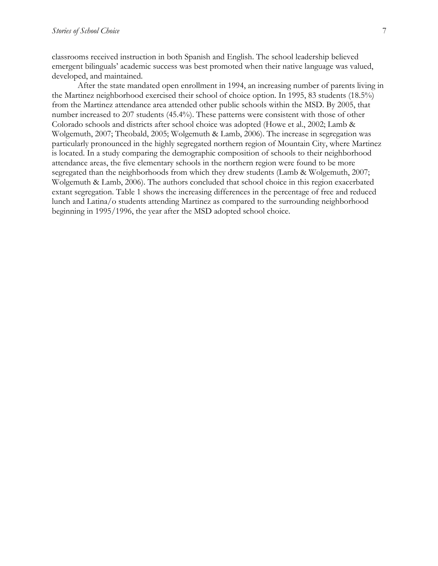classrooms received instruction in both Spanish and English. The school leadership believed emergent bilinguals' academic success was best promoted when their native language was valued, developed, and maintained.

After the state mandated open enrollment in 1994, an increasing number of parents living in the Martinez neighborhood exercised their school of choice option. In 1995, 83 students (18.5%) from the Martinez attendance area attended other public schools within the MSD. By 2005, that number increased to 207 students (45.4%). These patterns were consistent with those of other Colorado schools and districts after school choice was adopted (Howe et al., 2002; Lamb & Wolgemuth, 2007; Theobald, 2005; Wolgemuth & Lamb, 2006). The increase in segregation was particularly pronounced in the highly segregated northern region of Mountain City, where Martinez is located. In a study comparing the demographic composition of schools to their neighborhood attendance areas, the five elementary schools in the northern region were found to be more segregated than the neighborhoods from which they drew students (Lamb & Wolgemuth, 2007; Wolgemuth & Lamb, 2006). The authors concluded that school choice in this region exacerbated extant segregation. Table 1 shows the increasing differences in the percentage of free and reduced lunch and Latina/o students attending Martinez as compared to the surrounding neighborhood beginning in 1995/1996, the year after the MSD adopted school choice.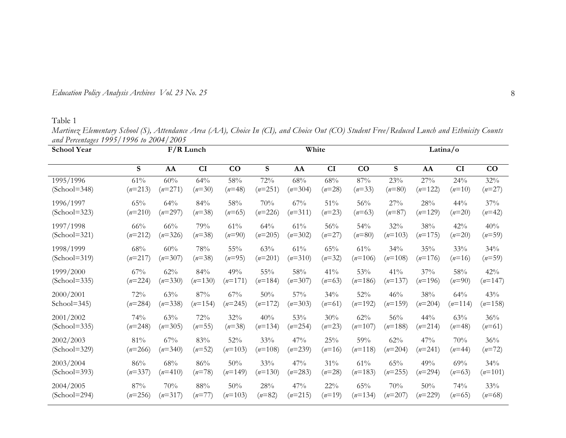| Education Policy Analysis Archives Vol. 23 No. 25 |  |
|---------------------------------------------------|--|
|---------------------------------------------------|--|

Table 1

*Martinez Elementary School (S), Attendance Area (AA), Choice In (CI), and Choice Out (CO) Student Free/Reduced Lunch and Ethnicity Counts and Percentages 1995/1996 to 2004/2005*

| <b>School Year</b> | $F/R$ Lunch |           |           |           |           | White     |          |           |           | Latina/o  |           |           |  |
|--------------------|-------------|-----------|-----------|-----------|-----------|-----------|----------|-----------|-----------|-----------|-----------|-----------|--|
|                    | S           | AA        | CI        | CO        | S         | AA        | CI       | CO        | S         | AA        | CI        | CO        |  |
| 1995/1996          | 61%         | 60%       | 64%       | 58%       | 72%       | 68%       | 68%      | $87\%$    | 23%       | 27%       | 24%       | 32%       |  |
| $(School = 348)$   | $(n=213)$   | $(n=271)$ | $(n=30)$  | $(n=48)$  | $(n=251)$ | $(n=304)$ | $(n=28)$ | $(n=33)$  | $(n=80)$  | $(n=122)$ | $(n=10)$  | $(n=27)$  |  |
| 1996/1997          | 65%         | 64%       | 84%       | 58%       | 70%       | 67%       | 51%      | 56%       | 27%       | 28%       | 44%       | 37%       |  |
| $(School = 323)$   | $(n=210)$   | $(n=297)$ | $(n=38)$  | $(n=65)$  | $(n=226)$ | $(n=311)$ | $(n=23)$ | $(n=63)$  | $(n=87)$  | $(n=129)$ | $(n=20)$  | $(n=42)$  |  |
| 1997/1998          | 66%         | 66%       | 79%       | 61%       | 64%       | 61%       | 56%      | 54%       | 32%       | 38%       | 42%       | 40%       |  |
| $(School = 321)$   | $(n=212)$   | $(n=326)$ | $(n=38)$  | $(n=90)$  | $(n=205)$ | $(n=302)$ | $(n=27)$ | $(n=80)$  | $(n=103)$ | $(n=175)$ | $(n=20)$  | $(n=59)$  |  |
| 1998/1999          | 68%         | 60%       | 78%       | 55%       | 63%       | 61%       | 65%      | 61%       | 34%       | 35%       | 33%       | 34%       |  |
| $(School = 319)$   | $(n=217)$   | $(n=307)$ | $(n=38)$  | $(n=95)$  | $(n=201)$ | $(n=310)$ | $(n=32)$ | $(n=106)$ | $(n=108)$ | $(n=176)$ | $(n=16)$  | $(n=59)$  |  |
| 1999/2000          | 67%         | 62%       | 84%       | 49%       | 55%       | 58%       | 41%      | 53%       | 41%       | 37%       | 58%       | 42%       |  |
| $(School = 335)$   | $(n=224)$   | $(n=330)$ | $(n=130)$ | $(n=171)$ | $(n=184)$ | $(n=307)$ | $(n=63)$ | $(n=186)$ | $(n=137)$ | $(n=196)$ | $(n=90)$  | $(n=147)$ |  |
| 2000/2001          | 72%         | 63%       | 87%       | 67%       | 50%       | 57%       | 34%      | 52%       | 46%       | 38%       | 64%       | 43%       |  |
| School= $345$ )    | $(n=284)$   | $(n=338)$ | $(n=154)$ | $(n=245)$ | $(n=172)$ | $(n=303)$ | $(n=61)$ | $(n=192)$ | $(n=159)$ | $(n=204)$ | $(n=114)$ | $(n=158)$ |  |
| 2001/2002          | 74%         | 63%       | 72%       | 32%       | 40%       | 53%       | 30%      | 62%       | 56%       | 44%       | 63%       | 36%       |  |
| $(School = 335)$   | $(n=248)$   | $(n=305)$ | $(n=55)$  | $(n=38)$  | $(n=134)$ | $(n=254)$ | $(n=23)$ | $(n=107)$ | $(n=188)$ | $(n=214)$ | $(n=48)$  | $(n=61)$  |  |
| 2002/2003          | 81%         | 67%       | 83%       | 52%       | 33%       | 47%       | 25%      | 59%       | 62%       | 47%       | 70%       | 36%       |  |
| $(School = 329)$   | $(n=266)$   | $(n=340)$ | $(n=52)$  | $(n=103)$ | $(n=108)$ | $(n=239)$ | $(n=16)$ | $(n=118)$ | $(n=204)$ | $(n=241)$ | $(n=44)$  | $(n=72)$  |  |
| 2003/2004          | 86%         | 68%       | 86%       | 50%       | 33%       | 47%       | 31%      | 61%       | 65%       | 49%       | 69%       | 34%       |  |
| $(School = 393)$   | $(n=337)$   | $(n=410)$ | $(n=78)$  | $(n=149)$ | $(n=130)$ | $(n=283)$ | $(n=28)$ | $(n=183)$ | $(n=255)$ | $(n=294)$ | $(n=63)$  | $(n=101)$ |  |
| 2004/2005          | 87%         | 70%       | 88%       | 50%       | 28%       | 47%       | $22\%$   | 65%       | 70%       | 50%       | 74%       | 33%       |  |
| $(School = 294)$   | $(n=256)$   | $(n=317)$ | $(n=77)$  | $(n=103)$ | $(n=82)$  | $(n=215)$ | $(n=19)$ | $(n=134)$ | $(n=207)$ | $(n=229)$ | $(n=65)$  | $(n=68)$  |  |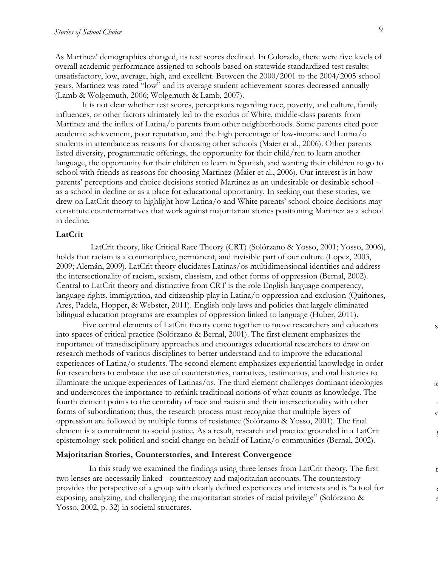As Martinez' demographics changed, its test scores declined. In Colorado, there were five levels of overall academic performance assigned to schools based on statewide standardized test results: unsatisfactory, low, average, high, and excellent. Between the 2000/2001 to the 2004/2005 school years, Martinez was rated "low" and its average student achievement scores decreased annually (Lamb & Wolgemuth, 2006; Wolgemuth & Lamb, 2007).

It is not clear whether test scores, perceptions regarding race, poverty, and culture, family influences, or other factors ultimately led to the exodus of White, middle-class parents from Martinez and the influx of Latina/o parents from other neighborhoods. Some parents cited poor academic achievement, poor reputation, and the high percentage of low-income and Latina/o students in attendance as reasons for choosing other schools (Maier et al., 2006). Other parents listed diversity, programmatic offerings, the opportunity for their child/ren to learn another language, the opportunity for their children to learn in Spanish, and wanting their children to go to school with friends as reasons for choosing Martinez (Maier et al., 2006). Our interest is in how parents' perceptions and choice decisions storied Martinez as an undesirable or desirable school as a school in decline or as a place for educational opportunity. In seeking out these stories, we drew on LatCrit theory to highlight how Latina/o and White parents' school choice decisions may constitute counternarratives that work against majoritarian stories positioning Martinez as a school in decline.

#### **LatCrit**

LatCrit theory, like Critical Race Theory (CRT) (Solórzano & Yosso, 2001; Yosso, 2006), holds that racism is a commonplace, permanent, and invisible part of our culture (Lopez, 2003, 2009; Alemán, 2009). LatCrit theory elucidates Latinas/os multidimensional identities and address the intersectionality of racism, sexism, classism, and other forms of oppression (Bernal, 2002). Central to LatCrit theory and distinctive from CRT is the role English language competency, language rights, immigration, and citizenship play in Latina/o oppression and exclusion (Quiñones, Ares, Padela, Hopper, & Webster, 2011). English only laws and policies that largely eliminated bilingual education programs are examples of oppression linked to language (Huber, 2011).

Five central elements of LatCrit theory come together to move researchers and educators into spaces of critical practice (Solórzano & Bernal, 2001). The first element emphasizes the importance of transdisciplinary approaches and encourages educational researchers to draw on research methods of various disciplines to better understand and to improve the educational experiences of Latina/o students. The second element emphasizes experiential knowledge in order for researchers to embrace the use of counterstories, narratives, testimonios, and oral histories to illuminate the unique experiences of Latinas/os. The third element challenges dominant ideologies and underscores the importance to rethink traditional notions of what counts as knowledge. The fourth element points to the centrality of race and racism and their intersectionality with other forms of subordination; thus, the research process must recognize that multiple layers of oppression are followed by multiple forms of resistance (Solórzano & Yosso, 2001). The final element is a commitment to social justice. As a result, research and practice grounded in a LatCrit epistemology seek political and social change on behalf of Latina/o communities (Bernal, 2002).

#### **Majoritarian Stories, Counterstories, and Interest Convergence**

In this study we examined the findings using three lenses from LatCrit theory. The first two lenses are necessarily linked - counterstory and majoritarian accounts. The counterstory provides the perspective of a group with clearly defined experiences and interests and is "a tool for exposing, analyzing, and challenging the majoritarian stories of racial privilege" (Solórzano & Yosso, 2002, p. 32) in societal structures.

s

ie

e

Į

t

or sso,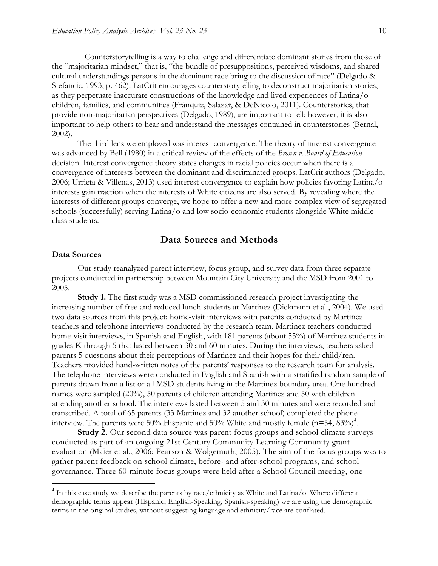Counterstorytelling is a way to challenge and differentiate dominant stories from those of the "majoritarian mindset," that is, "the bundle of presuppositions, perceived wisdoms, and shared cultural understandings persons in the dominant race bring to the discussion of race" (Delgado & Stefancic, 1993, p. 462). LatCrit encourages counterstorytelling to deconstruct majoritarian stories, as they perpetuate inaccurate constructions of the knowledge and lived experiences of Latina/o children, families, and communities (Fránquiz, Salazar, & DeNicolo, 2011). Counterstories, that provide non-majoritarian perspectives (Delgado, 1989), are important to tell; however, it is also important to help others to hear and understand the messages contained in counterstories (Bernal, 2002).

The third lens we employed was interest convergence. The theory of interest convergence was advanced by Bell (1980) in a critical review of the effects of the *Brown v. Board of Education* decision. Interest convergence theory states changes in racial policies occur when there is a convergence of interests between the dominant and discriminated groups. LatCrit authors (Delgado, 2006; Urrieta & Villenas, 2013) used interest convergence to explain how policies favoring Latina/o interests gain traction when the interests of White citizens are also served. By revealing where the interests of different groups converge, we hope to offer a new and more complex view of segregated schools (successfully) serving Latina/o and low socio-economic students alongside White middle class students.

## **Data Sources and Methods**

#### **Data Sources**

Our study reanalyzed parent interview, focus group, and survey data from three separate projects conducted in partnership between Mountain City University and the MSD from 2001 to 2005.

**Study 1.** The first study was a MSD commissioned research project investigating the increasing number of free and reduced lunch students at Martinez (Dickmann et al., 2004). We used two data sources from this project: home-visit interviews with parents conducted by Martinez teachers and telephone interviews conducted by the research team. Martinez teachers conducted home-visit interviews, in Spanish and English, with 181 parents (about 55%) of Martinez students in grades K through 5 that lasted between 30 and 60 minutes. During the interviews, teachers asked parents 5 questions about their perceptions of Martinez and their hopes for their child/ren. Teachers provided hand-written notes of the parents' responses to the research team for analysis. The telephone interviews were conducted in English and Spanish with a stratified random sample of parents drawn from a list of all MSD students living in the Martinez boundary area. One hundred names were sampled (20%), 50 parents of children attending Martinez and 50 with children attending another school. The interviews lasted between 5 and 30 minutes and were recorded and transcribed. A total of 65 parents (33 Martinez and 32 another school) completed the phone interview. The parents were 50% Hispanic and 50% White and mostly female  $(n=54, 83%)^4$ .

**Study 2.** Our second data source was parent focus groups and school climate surveys conducted as part of an ongoing 21st Century Community Learning Community grant evaluation (Maier et al., 2006; Pearson & Wolgemuth, 2005). The aim of the focus groups was to gather parent feedback on school climate, before- and after-school programs, and school governance. Three 60-minute focus groups were held after a School Council meeting, one

<sup>&</sup>lt;sup>4</sup> In this case study we describe the parents by race/ethnicity as White and Latina/o. Where different demographic terms appear (Hispanic, English-Speaking, Spanish-speaking) we are using the demographic terms in the original studies, without suggesting language and ethnicity/race are conflated.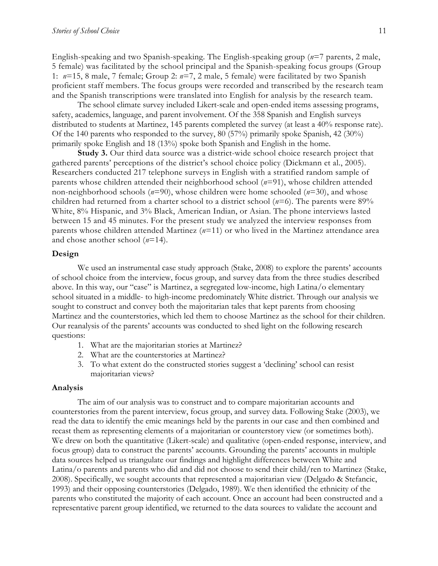English-speaking and two Spanish-speaking. The English-speaking group (*n*=7 parents, 2 male, 5 female) was facilitated by the school principal and the Spanish-speaking focus groups (Group 1: *n*=15, 8 male, 7 female; Group 2: *n*=7, 2 male, 5 female) were facilitated by two Spanish proficient staff members. The focus groups were recorded and transcribed by the research team and the Spanish transcriptions were translated into English for analysis by the research team.

The school climate survey included Likert-scale and open-ended items assessing programs, safety, academics, language, and parent involvement. Of the 358 Spanish and English surveys distributed to students at Martinez, 145 parents completed the survey (at least a 40% response rate). Of the 140 parents who responded to the survey, 80 (57%) primarily spoke Spanish, 42 (30%) primarily spoke English and 18 (13%) spoke both Spanish and English in the home.

**Study 3.** Our third data source was a district-wide school choice research project that gathered parents' perceptions of the district's school choice policy (Dickmann et al., 2005). Researchers conducted 217 telephone surveys in English with a stratified random sample of parents whose children attended their neighborhood school (*n*=91), whose children attended non-neighborhood schools (*n*=90), whose children were home schooled (*n*=30), and whose children had returned from a charter school to a district school ( $n=6$ ). The parents were 89% White, 8% Hispanic, and 3% Black, American Indian, or Asian. The phone interviews lasted between 15 and 45 minutes. For the present study we analyzed the interview responses from parents whose children attended Martinez (*n*=11) or who lived in the Martinez attendance area and chose another school (*n*=14).

#### **Design**

We used an instrumental case study approach (Stake, 2008) to explore the parents' accounts of school choice from the interview, focus group, and survey data from the three studies described above. In this way, our "case" is Martinez, a segregated low-income, high Latina/o elementary school situated in a middle- to high-income predominately White district. Through our analysis we sought to construct and convey both the majoritarian tales that kept parents from choosing Martinez and the counterstories, which led them to choose Martinez as the school for their children. Our reanalysis of the parents' accounts was conducted to shed light on the following research questions:

- 1. What are the majoritarian stories at Martinez?
- 2. What are the counterstories at Martinez?
- 3. To what extent do the constructed stories suggest a 'declining' school can resist majoritarian views?

#### **Analysis**

The aim of our analysis was to construct and to compare majoritarian accounts and counterstories from the parent interview, focus group, and survey data. Following Stake (2003), we read the data to identify the emic meanings held by the parents in our case and then combined and recast them as representing elements of a majoritarian or counterstory view (or sometimes both). We drew on both the quantitative (Likert-scale) and qualitative (open-ended response, interview, and focus group) data to construct the parents' accounts. Grounding the parents' accounts in multiple data sources helped us triangulate our findings and highlight differences between White and Latina/o parents and parents who did and did not choose to send their child/ren to Martinez (Stake, 2008). Specifically, we sought accounts that represented a majoritarian view (Delgado & Stefancic, 1993) and their opposing counterstories (Delgado, 1989). We then identified the ethnicity of the parents who constituted the majority of each account. Once an account had been constructed and a representative parent group identified, we returned to the data sources to validate the account and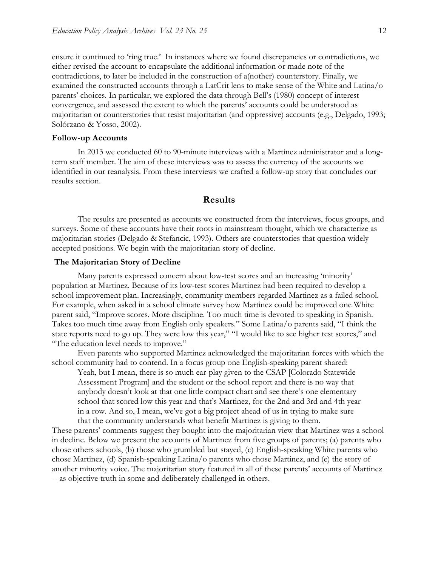ensure it continued to 'ring true.' In instances where we found discrepancies or contradictions, we either revised the account to encapsulate the additional information or made note of the contradictions, to later be included in the construction of a(nother) counterstory. Finally, we examined the constructed accounts through a LatCrit lens to make sense of the White and Latina/o parents' choices. In particular, we explored the data through Bell's (1980) concept of interest convergence, and assessed the extent to which the parents' accounts could be understood as majoritarian or counterstories that resist majoritarian (and oppressive) accounts (e.g., Delgado, 1993; Solórzano & Yosso, 2002).

#### **Follow-up Accounts**

In 2013 we conducted 60 to 90-minute interviews with a Martinez administrator and a longterm staff member. The aim of these interviews was to assess the currency of the accounts we identified in our reanalysis. From these interviews we crafted a follow-up story that concludes our results section.

#### **Results**

The results are presented as accounts we constructed from the interviews, focus groups, and surveys. Some of these accounts have their roots in mainstream thought, which we characterize as majoritarian stories (Delgado & Stefancic, 1993). Others are counterstories that question widely accepted positions. We begin with the majoritarian story of decline.

#### **The Majoritarian Story of Decline**

Many parents expressed concern about low-test scores and an increasing 'minority' population at Martinez. Because of its low-test scores Martinez had been required to develop a school improvement plan. Increasingly, community members regarded Martinez as a failed school. For example, when asked in a school climate survey how Martinez could be improved one White parent said, "Improve scores. More discipline. Too much time is devoted to speaking in Spanish. Takes too much time away from English only speakers." Some Latina/o parents said, "I think the state reports need to go up. They were low this year," "I would like to see higher test scores," and "The education level needs to improve."

Even parents who supported Martinez acknowledged the majoritarian forces with which the school community had to contend. In a focus group one English-speaking parent shared:

Yeah, but I mean, there is so much ear-play given to the CSAP [Colorado Statewide Assessment Program] and the student or the school report and there is no way that anybody doesn't look at that one little compact chart and see there's one elementary school that scored low this year and that's Martinez, for the 2nd and 3rd and 4th year in a row. And so, I mean, we've got a big project ahead of us in trying to make sure that the community understands what benefit Martinez is giving to them.

These parents' comments suggest they bought into the majoritarian view that Martinez was a school in decline. Below we present the accounts of Martinez from five groups of parents; (a) parents who chose others schools, (b) those who grumbled but stayed, (c) English-speaking White parents who chose Martinez, (d) Spanish-speaking Latina/o parents who chose Martinez, and (e) the story of another minority voice. The majoritarian story featured in all of these parents' accounts of Martinez -- as objective truth in some and deliberately challenged in others.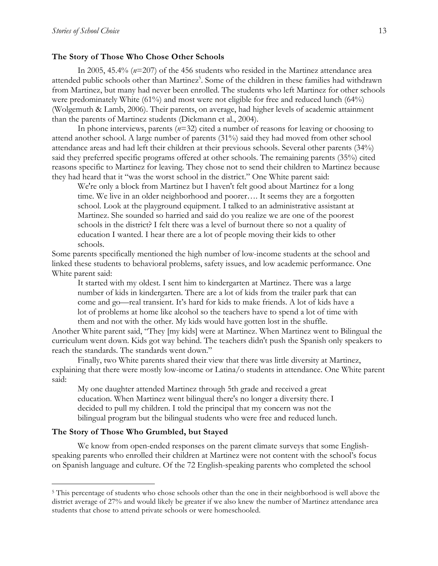#### **The Story of Those Who Chose Other Schools**

In 2005, 45.4% (*n*=207) of the 456 students who resided in the Martinez attendance area attended public schools other than Martinez<sup>5</sup>. Some of the children in these families had withdrawn from Martinez, but many had never been enrolled. The students who left Martinez for other schools were predominately White (61%) and most were not eligible for free and reduced lunch (64%) (Wolgemuth & Lamb, 2006). Their parents, on average, had higher levels of academic attainment than the parents of Martinez students (Dickmann et al., 2004).

In phone interviews, parents (*n*=32) cited a number of reasons for leaving or choosing to attend another school. A large number of parents (31%) said they had moved from other school attendance areas and had left their children at their previous schools. Several other parents (34%) said they preferred specific programs offered at other schools. The remaining parents (35%) cited reasons specific to Martinez for leaving. They chose not to send their children to Martinez because they had heard that it "was the worst school in the district." One White parent said:

We're only a block from Martinez but I haven't felt good about Martinez for a long time. We live in an older neighborhood and poorer…. It seems they are a forgotten school. Look at the playground equipment. I talked to an administrative assistant at Martinez. She sounded so harried and said do you realize we are one of the poorest schools in the district? I felt there was a level of burnout there so not a quality of education I wanted. I hear there are a lot of people moving their kids to other schools.

Some parents specifically mentioned the high number of low-income students at the school and linked these students to behavioral problems, safety issues, and low academic performance. One White parent said:

It started with my oldest. I sent him to kindergarten at Martinez. There was a large number of kids in kindergarten. There are a lot of kids from the trailer park that can come and go—real transient. It's hard for kids to make friends. A lot of kids have a lot of problems at home like alcohol so the teachers have to spend a lot of time with them and not with the other. My kids would have gotten lost in the shuffle.

Another White parent said, "They [my kids] were at Martinez. When Martinez went to Bilingual the curriculum went down. Kids got way behind. The teachers didn't push the Spanish only speakers to reach the standards. The standards went down."

Finally, two White parents shared their view that there was little diversity at Martinez, explaining that there were mostly low-income or Latina/o students in attendance. One White parent said:

My one daughter attended Martinez through 5th grade and received a great education. When Martinez went bilingual there's no longer a diversity there. I decided to pull my children. I told the principal that my concern was not the bilingual program but the bilingual students who were free and reduced lunch.

#### **The Story of Those Who Grumbled, but Stayed**

We know from open-ended responses on the parent climate surveys that some Englishspeaking parents who enrolled their children at Martinez were not content with the school's focus on Spanish language and culture. Of the 72 English-speaking parents who completed the school

<sup>5</sup> This percentage of students who chose schools other than the one in their neighborhood is well above the district average of 27% and would likely be greater if we also knew the number of Martinez attendance area students that chose to attend private schools or were homeschooled.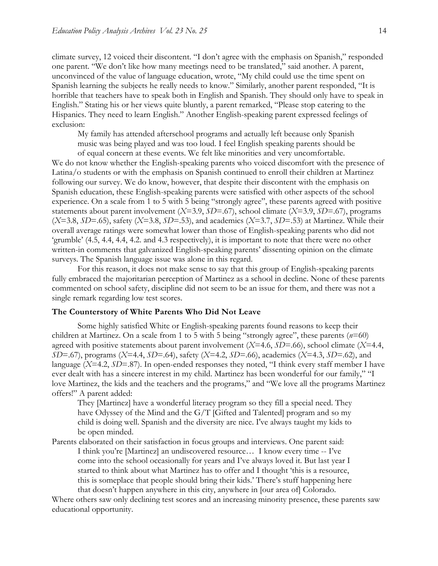climate survey, 12 voiced their discontent. "I don't agree with the emphasis on Spanish," responded one parent. "We don't like how many meetings need to be translated," said another. A parent, unconvinced of the value of language education, wrote, "My child could use the time spent on Spanish learning the subjects he really needs to know." Similarly, another parent responded, "It is horrible that teachers have to speak both in English and Spanish. They should only have to speak in English." Stating his or her views quite bluntly, a parent remarked, "Please stop catering to the Hispanics. They need to learn English." Another English-speaking parent expressed feelings of exclusion:

My family has attended afterschool programs and actually left because only Spanish music was being played and was too loud. I feel English speaking parents should be

of equal concern at these events. We felt like minorities and very uncomfortable. We do not know whether the English-speaking parents who voiced discomfort with the presence of Latina/o students or with the emphasis on Spanish continued to enroll their children at Martinez following our survey. We do know, however, that despite their discontent with the emphasis on Spanish education, these English-speaking parents were satisfied with other aspects of the school experience. On a scale from 1 to 5 with 5 being "strongly agree", these parents agreed with positive statements about parent involvement (*X*=3.9, *SD*=.67), school climate (*X*=3.9, *SD*=.67), programs (*X*=3.8, *SD*=.65), safety (*X*=3.8, *SD*=.53), and academics (*X*=3.7, *SD*=.53) at Martinez. While their overall average ratings were somewhat lower than those of English-speaking parents who did not 'grumble' (4.5, 4.4, 4.4, 4.2. and 4.3 respectively), it is important to note that there were no other written-in comments that galvanized English-speaking parents' dissenting opinion on the climate surveys. The Spanish language issue was alone in this regard.

For this reason, it does not make sense to say that this group of English-speaking parents fully embraced the majoritarian perception of Martinez as a school in decline. None of these parents commented on school safety, discipline did not seem to be an issue for them, and there was not a single remark regarding low test scores.

#### **The Counterstory of White Parents Who Did Not Leave**

Some highly satisfied White or English-speaking parents found reasons to keep their children at Martinez. On a scale from 1 to 5 with 5 being "strongly agree", these parents (*n*=60) agreed with positive statements about parent involvement (*X*=4.6, *SD*=.66), school climate (*X*=4.4, *SD*=.67), programs (*X*=4.4, *SD*=.64), safety (*X*=4.2, *SD*=.66), academics (*X*=4.3, *SD*=.62), and language (*X*=4.2, *SD*=.87). In open-ended responses they noted, "I think every staff member I have ever dealt with has a sincere interest in my child. Martinez has been wonderful for our family," "I love Martinez, the kids and the teachers and the programs," and "We love all the programs Martinez offers!" A parent added:

They [Martinez] have a wonderful literacy program so they fill a special need. They have Odyssey of the Mind and the G/T [Gifted and Talented] program and so my child is doing well. Spanish and the diversity are nice. I've always taught my kids to be open minded.

Parents elaborated on their satisfaction in focus groups and interviews. One parent said: I think you're [Martinez] an undiscovered resource… I know every time -- I've come into the school occasionally for years and I've always loved it. But last year I started to think about what Martinez has to offer and I thought 'this is a resource, this is someplace that people should bring their kids.' There's stuff happening here that doesn't happen anywhere in this city, anywhere in [our area of] Colorado.

Where others saw only declining test scores and an increasing minority presence, these parents saw educational opportunity.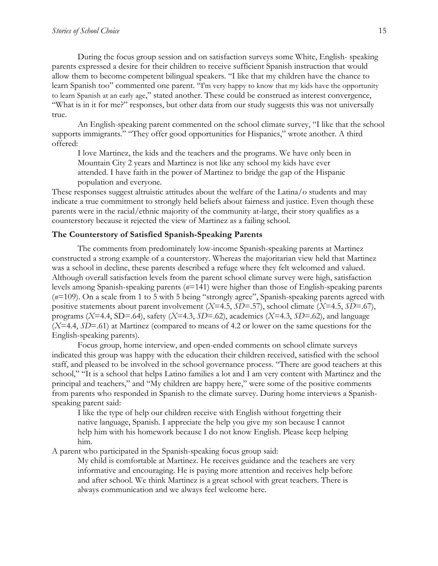During the focus group session and on satisfaction surveys some White, English- speaking parents expressed a desire for their children to receive sufficient Spanish instruction that would allow them to become competent bilingual speakers. "I like that my children have the chance to learn Spanish too" commented one parent. "I'm very happy to know that my kids have the opportunity to learn Spanish at an early age," stated another. These could be construed as interest convergence, "What is in it for me?" responses, but other data from our study suggests this was not universally true.

An English-speaking parent commented on the school climate survey, "I like that the school supports immigrants." "They offer good opportunities for Hispanics," wrote another. A third offered:

I love Martinez, the kids and the teachers and the programs. We have only been in Mountain City 2 years and Martinez is not like any school my kids have ever attended. I have faith in the power of Martinez to bridge the gap of the Hispanic population and everyone*.*

These responses suggest altruistic attitudes about the welfare of the Latina/o students and may indicate a true commitment to strongly held beliefs about fairness and justice. Even though these parents were in the racial/ethnic majority of the community at-large, their story qualifies as a counterstory because it rejected the view of Martinez as a failing school.

#### **The Counterstory of Satisfied Spanish-Speaking Parents**

The comments from predominately low-income Spanish-speaking parents at Martinez constructed a strong example of a counterstory. Whereas the majoritarian view held that Martinez was a school in decline, these parents described a refuge where they felt welcomed and valued. Although overall satisfaction levels from the parent school climate survey were high, satisfaction levels among Spanish-speaking parents (*n*=141) were higher than those of English-speaking parents (*n*=109). On a scale from 1 to 5 with 5 being "strongly agree", Spanish-speaking parents agreed with positive statements about parent involvement (*X*=4.5, *SD*=.57), school climate (*X*=4.5, *SD*=.67), programs (*X*=4.4, SD=.64), safety (*X*=4.3, *SD*=.62), academics (*X*=4.3, *SD*=.62), and language (*X*=4.4, *SD*=.61) at Martinez (compared to means of 4.2 or lower on the same questions for the English-speaking parents).

Focus group, home interview, and open-ended comments on school climate surveys indicated this group was happy with the education their children received, satisfied with the school staff, and pleased to be involved in the school governance process. "There are good teachers at this school," "It is a school that helps Latino families a lot and I am very content with Martinez and the principal and teachers," and "My children are happy here," were some of the positive comments from parents who responded in Spanish to the climate survey. During home interviews a Spanishspeaking parent said:

I like the type of help our children receive with English without forgetting their native language, Spanish. I appreciate the help you give my son because I cannot help him with his homework because I do not know English. Please keep helping him.

A parent who participated in the Spanish-speaking focus group said:

My child is comfortable at Martinez. He receives guidance and the teachers are very informative and encouraging. He is paying more attention and receives help before and after school. We think Martinez is a great school with great teachers. There is always communication and we always feel welcome here.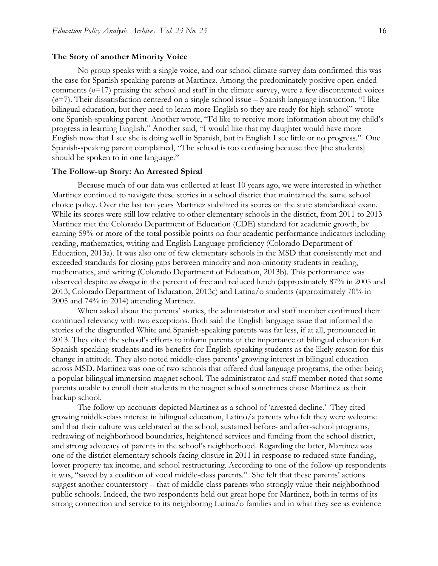#### **The Story of another Minority Voice**

No group speaks with a single voice, and our school climate survey data confirmed this was the case for Spanish speaking parents at Martinez. Among the predominately positive open-ended comments (*n*=17) praising the school and staff in the climate survey, were a few discontented voices (*n*=7). Their dissatisfaction centered on a single school issue – Spanish language instruction. "I like bilingual education, but they need to learn more English so they are ready for high school" wrote one Spanish-speaking parent. Another wrote, "I'd like to receive more information about my child's progress in learning English." Another said, "I would like that my daughter would have more English now that I see she is doing well in Spanish, but in English I see little or no progress." One Spanish-speaking parent complained, "The school is too confusing because they [the students] should be spoken to in one language."

#### **The Follow-up Story: An Arrested Spiral**

Because much of our data was collected at least 10 years ago, we were interested in whether Martinez continued to navigate these stories in a school district that maintained the same school choice policy. Over the last ten years Martinez stabilized its scores on the state standardized exam. While its scores were still low relative to other elementary schools in the district, from 2011 to 2013 Martinez met the Colorado Department of Education (CDE) standard for academic growth, by earning 59% or more of the total possible points on four academic performance indicators including reading, mathematics, writing and English Language proficiency (Colorado Department of Education, 2013a). It was also one of few elementary schools in the MSD that consistently met and exceeded standards for closing gaps between minority and non-minority students in reading, mathematics, and writing (Colorado Department of Education, 2013b). This performance was observed despite *no changes* in the percent of free and reduced lunch (approximately 87% in 2005 and 2013; Colorado Department of Education, 2013c) and Latina/o students (approximately 70% in 2005 and 74% in 2014) attending Martinez.

When asked about the parents' stories, the administrator and staff member confirmed their continued relevancy with two exceptions. Both said the English language issue that informed the stories of the disgruntled White and Spanish-speaking parents was far less, if at all, pronounced in 2013. They cited the school's efforts to inform parents of the importance of bilingual education for Spanish-speaking students and its benefits for English-speaking students as the likely reason for this change in attitude. They also noted middle-class parents' growing interest in bilingual education across MSD. Martinez was one of two schools that offered dual language programs, the other being a popular bilingual immersion magnet school. The administrator and staff member noted that some parents unable to enroll their students in the magnet school sometimes chose Martinez as their backup school.

The follow-up accounts depicted Martinez as a school of 'arrested decline.' They cited growing middle-class interest in bilingual education, Latino/a parents who felt they were welcome and that their culture was celebrated at the school, sustained before- and after-school programs, redrawing of neighborhood boundaries, heightened services and funding from the school district, and strong advocacy of parents in the school's neighborhood. Regarding the latter, Martinez was one of the district elementary schools facing closure in 2011 in response to reduced state funding, lower property tax income, and school restructuring. According to one of the follow-up respondents it was, "saved by a coalition of vocal middle-class parents." She felt that these parents' actions suggest another counterstory – that of middle-class parents who strongly value their neighborhood public schools. Indeed, the two respondents held out great hope for Martinez, both in terms of its strong connection and service to its neighboring Latina/o families and in what they see as evidence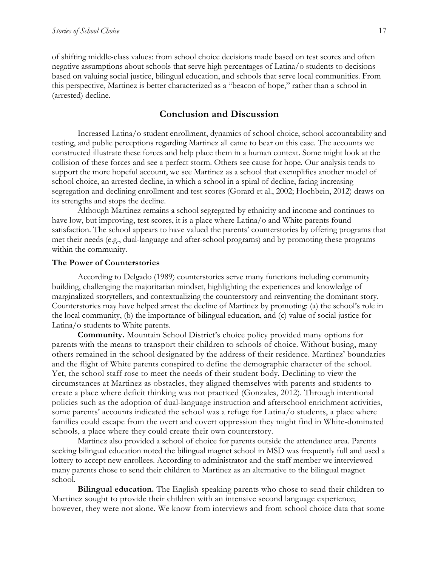of shifting middle-class values: from school choice decisions made based on test scores and often negative assumptions about schools that serve high percentages of Latina/o students to decisions based on valuing social justice, bilingual education, and schools that serve local communities. From this perspective, Martinez is better characterized as a "beacon of hope," rather than a school in (arrested) decline.

### **Conclusion and Discussion**

Increased Latina/o student enrollment, dynamics of school choice, school accountability and testing, and public perceptions regarding Martinez all came to bear on this case. The accounts we constructed illustrate these forces and help place them in a human context. Some might look at the collision of these forces and see a perfect storm. Others see cause for hope. Our analysis tends to support the more hopeful account, we see Martinez as a school that exemplifies another model of school choice, an arrested decline, in which a school in a spiral of decline, facing increasing segregation and declining enrollment and test scores (Gorard et al., 2002; Hochbein, 2012) draws on its strengths and stops the decline.

Although Martinez remains a school segregated by ethnicity and income and continues to have low, but improving, test scores, it is a place where Latina/o and White parents found satisfaction. The school appears to have valued the parents' counterstories by offering programs that met their needs (e.g., dual-language and after-school programs) and by promoting these programs within the community.

#### **The Power of Counterstories**

According to Delgado (1989) counterstories serve many functions including community building, challenging the majoritarian mindset, highlighting the experiences and knowledge of marginalized storytellers, and contextualizing the counterstory and reinventing the dominant story. Counterstories may have helped arrest the decline of Martinez by promoting: (a) the school's role in the local community, (b) the importance of bilingual education, and (c) value of social justice for Latina/o students to White parents.

**Community.** Mountain School District's choice policy provided many options for parents with the means to transport their children to schools of choice. Without busing, many others remained in the school designated by the address of their residence. Martinez' boundaries and the flight of White parents conspired to define the demographic character of the school. Yet, the school staff rose to meet the needs of their student body. Declining to view the circumstances at Martinez as obstacles, they aligned themselves with parents and students to create a place where deficit thinking was not practiced (Gonzales, 2012). Through intentional policies such as the adoption of dual-language instruction and afterschool enrichment activities, some parents' accounts indicated the school was a refuge for Latina/o students, a place where families could escape from the overt and covert oppression they might find in White-dominated schools, a place where they could create their own counterstory.

Martinez also provided a school of choice for parents outside the attendance area. Parents seeking bilingual education noted the bilingual magnet school in MSD was frequently full and used a lottery to accept new enrollees. According to administrator and the staff member we interviewed many parents chose to send their children to Martinez as an alternative to the bilingual magnet school.

**Bilingual education.** The English-speaking parents who chose to send their children to Martinez sought to provide their children with an intensive second language experience; however, they were not alone. We know from interviews and from school choice data that some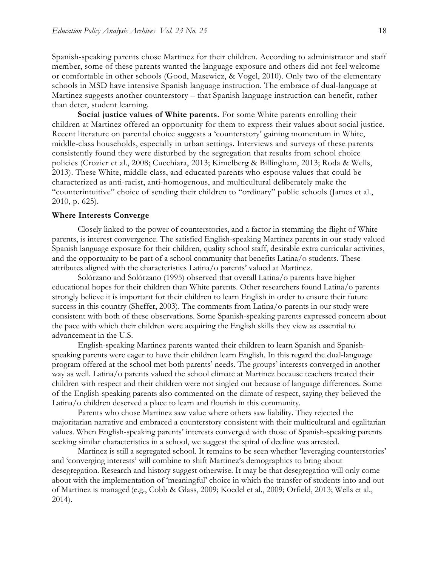Spanish-speaking parents chose Martinez for their children. According to administrator and staff member, some of these parents wanted the language exposure and others did not feel welcome or comfortable in other schools (Good, Masewicz, & Vogel, 2010). Only two of the elementary schools in MSD have intensive Spanish language instruction. The embrace of dual-language at Martinez suggests another counterstory – that Spanish language instruction can benefit, rather than deter, student learning.

**Social justice values of White parents.** For some White parents enrolling their children at Martinez offered an opportunity for them to express their values about social justice. Recent literature on parental choice suggests a 'counterstory' gaining momentum in White, middle-class households, especially in urban settings. Interviews and surveys of these parents consistently found they were disturbed by the segregation that results from school choice policies (Crozier et al., 2008; Cucchiara, 2013; Kimelberg & Billingham, 2013; Roda & Wells, 2013). These White, middle-class, and educated parents who espouse values that could be characterized as anti-racist, anti-homogenous, and multicultural deliberately make the "counterintuitive" choice of sending their children to "ordinary" public schools (James et al., 2010, p. 625).

#### **Where Interests Converge**

Closely linked to the power of counterstories, and a factor in stemming the flight of White parents, is interest convergence. The satisfied English-speaking Martinez parents in our study valued Spanish language exposure for their children, quality school staff, desirable extra curricular activities, and the opportunity to be part of a school community that benefits Latina/o students. These attributes aligned with the characteristics Latina/o parents' valued at Martinez.

Solórzano and Solórzano (1995) observed that overall Latina/o parents have higher educational hopes for their children than White parents. Other researchers found Latina/o parents strongly believe it is important for their children to learn English in order to ensure their future success in this country (Sheffer, 2003). The comments from Latina/o parents in our study were consistent with both of these observations. Some Spanish-speaking parents expressed concern about the pace with which their children were acquiring the English skills they view as essential to advancement in the U.S.

English-speaking Martinez parents wanted their children to learn Spanish and Spanishspeaking parents were eager to have their children learn English. In this regard the dual-language program offered at the school met both parents' needs. The groups' interests converged in another way as well. Latina/o parents valued the school climate at Martinez because teachers treated their children with respect and their children were not singled out because of language differences. Some of the English-speaking parents also commented on the climate of respect, saying they believed the Latina/o children deserved a place to learn and flourish in this community.

Parents who chose Martinez saw value where others saw liability. They rejected the majoritarian narrative and embraced a counterstory consistent with their multicultural and egalitarian values. When English-speaking parents' interests converged with those of Spanish-speaking parents seeking similar characteristics in a school, we suggest the spiral of decline was arrested.

Martinez is still a segregated school. It remains to be seen whether 'leveraging counterstories' and 'converging interests' will combine to shift Martinez's demographics to bring about desegregation. Research and history suggest otherwise. It may be that desegregation will only come about with the implementation of 'meaningful' choice in which the transfer of students into and out of Martinez is managed (e.g., Cobb & Glass, 2009; Koedel et al., 2009; Orfield, 2013; Wells et al., 2014).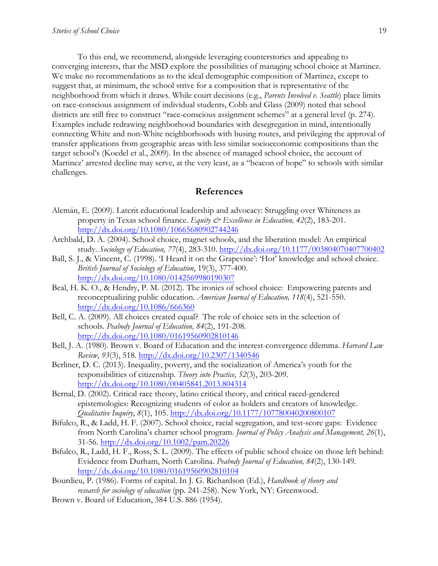To this end, we recommend, alongside leveraging counterstories and appealing to converging interests, that the MSD explore the possibilities of managing school choice at Martinez. We make no recommendations as to the ideal demographic composition of Martinez, except to suggest that, at minimum, the school strive for a composition that is representative of the neighborhood from which it draws. While court decisions (e.g., *Parents Involved v. Seattle*) place limits on race-conscious assignment of individual students, Cobb and Glass (2009) noted that school districts are still free to construct "race-conscious assignment schemes" at a general level (p. 274). Examples include redrawing neighborhood boundaries with desegregation in mind, intentionally connecting White and non-White neighborhoods with busing routes, and privileging the approval of transfer applications from geographic areas with less similar socioeconomic compositions than the target school's (Koedel et al., 2009). In the absence of managed school choice, the account of Martinez' arrested decline may serve, at the very least, as a "beacon of hope" to schools with similar challenges.

#### **References**

- Alemán, E. (2009). Latcrit educational leadership and advocacy: Struggling over Whiteness as property in Texas school finance. *Equity & Excellence in Education*, 42(2), 183-201. http://dx.doi.org/10.1080/10665680902744246
- Archbald, D. A. (2004). School choice, magnet schools, and the liberation model: An empirical study. *Sociology of Education, 77*(4), 283-310. http://dx.doi.org/10.1177/003804070407700402
- Ball, S. J., & Vincent, C. (1998). 'I Heard it on the Grapevine': 'Hot' knowledge and school choice. *British Journal of Sociology of Education*, 19(3), 377-400. http://dx.doi.org/10.1080/0142569980190307
- Beal, H. K. O., & Hendry, P. M. (2012). The ironies of school choice: Empowering parents and reconceptualizing public education. *American Journal of Education, 118*(4), 521-550. http://dx.doi.org/10.1086/666360
- Bell, C. A. (2009). All choices created equal? The role of choice sets in the selection of schools. *Peabody Journal of Education, 84*(2), 191-208. http://dx.doi.org/10.1080/01619560902810146
- Bell, J. A. (1980). Brown v. Board of Education and the interest-convergence dilemma. *Harvard Law Review*, *93*(3), 518. http://dx.doi.org/10.2307/1340546
- Berliner, D. C. (2013). Inequality, poverty, and the socialization of America's youth for the responsibilities of citizenship. *Theory into Practice, 52*(3), 203-209. http://dx.doi.org/10.1080/00405841.2013.804314
- Bernal, D. (2002). Critical race theory, latino critical theory, and critical raced-gendered epistemologies: Recognizing students of color as holders and creators of knowledge. *Qualitative Inquiry*, *8*(1), 105. http://dx.doi.org/10.1177/107780040200800107
- Bifulco, R., & Ladd, H. F. (2007). School choice, racial segregation, and test-score gaps: Evidence from North Carolina's charter school program. *Journal of Policy Analysis and Management, 26*(1), 31-56. http://dx.doi.org/10.1002/pam.20226
- Bifulco, R., Ladd, H. F., Ross, S. L. (2009). The effects of public school choice on those left behind: Evidence from Durham, North Carolina. *Peabody Journal of Education, 84*(2), 130-149. http://dx.doi.org/10.1080/01619560902810104
- Bourdieu, P. (1986). Forms of capital. In J. G. Richardson (Ed.), *Handbook of theory and research for sociology of education* (pp. 241-258). New York, NY: Greenwood.
- Brown v. Board of Education, 384 U.S. 886 (1954).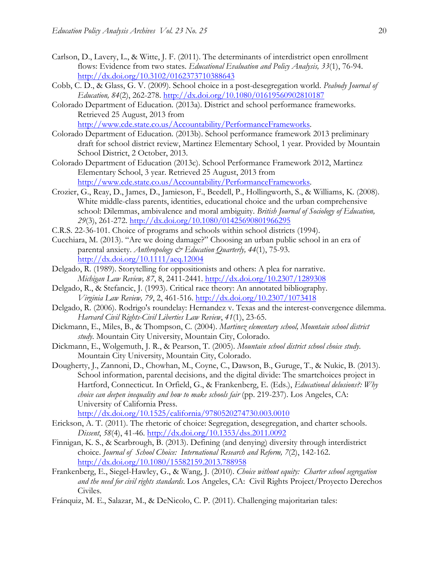- Carlson, D., Lavery, L., & Witte, J. F. (2011). The determinants of interdistrict open enrollment flows: Evidence from two states. *Educational Evaluation and Policy Analysis, 33*(1), 76-94. http://dx.doi.org/10.3102/0162373710388643
- Cobb, C. D., & Glass, G. V. (2009). School choice in a post-desegregation world. *Peabody Journal of Education, 84*(2), 262-278. http://dx.doi.org/10.1080/01619560902810187
- Colorado Department of Education. (2013a). District and school performance frameworks. Retrieved 25 August, 2013 from http://www.cde.state.co.us/Accountability/PerformanceFrameworks.
- Colorado Department of Education. (2013b). School performance framework 2013 preliminary draft for school district review, Martinez Elementary School, 1 year. Provided by Mountain School District, 2 October, 2013.
- Colorado Department of Education (2013c). School Performance Framework 2012, Martinez Elementary School, 3 year. Retrieved 25 August, 2013 from http://www.cde.state.co.us/Accountability/PerformanceFrameworks.
- Crozier, G., Reay, D., James, D., Jamieson, F., Beedell, P., Hollingworth, S., & Williams, K. (2008). White middle-class parents, identities, educational choice and the urban comprehensive school: Dilemmas, ambivalence and moral ambiguity. *British Journal of Sociology of Education, 29*(3), 261-272. http://dx.doi.org/10.1080/01425690801966295
- C.R.S. 22-36-101. Choice of programs and schools within school districts (1994).
- Cucchiara, M. (2013). "Are we doing damage?" Choosing an urban public school in an era of parental anxiety. *Anthropology & Education Quarterly, 44*(1), 75-93. http://dx.doi.org/10.1111/aeq.12004
- Delgado, R. (1989). Storytelling for oppositionists and others: A plea for narrative. *Michigan Law Review, 87*, 8, 2411-2441. http://dx.doi.org/10.2307/1289308
- Delgado, R., & Stefancic, J. (1993). Critical race theory: An annotated bibliography. *Virginia Law Review, 79*, 2, 461-516. http://dx.doi.org/10.2307/1073418
- Delgado, R. (2006). Rodrigo's roundelay: Hernandez v. Texas and the interest-convergence dilemma. *Harvard Civil Rights-Civil Liberties Law Review*, *41*(1), 23-65.
- Dickmann, E., Miles, B., & Thompson, C. (2004). *Martinez elementary school, Mountain school district study*. Mountain City University, Mountain City, Colorado.
- Dickmann, E., Wolgemuth, J. R., & Pearson, T. (2005). *Mountain school district school choice study*. Mountain City University, Mountain City, Colorado.
- Dougherty, J., Zannoni, D., Chowhan, M., Coyne, C., Dawson, B., Guruge, T., & Nukic, B. (2013). School information, parental decisions, and the digital divide: The smartchoices project in Hartford, Connecticut. In Orfield, G., & Frankenberg, E. (Eds.), *Educational delusions?: Why choice can deepen inequality and how to make schools fair* (pp. 219-237). Los Angeles, CA: University of California Press.

http://dx.doi.org/10.1525/california/9780520274730.003.0010

- Erickson, A. T. (2011). The rhetoric of choice: Segregation, desegregation, and charter schools. *Dissent*, *58*(4), 41-46. http://dx.doi.org/10.1353/dss.2011.0092
- Finnigan, K. S., & Scarbrough, B. (2013). Defining (and denying) diversity through interdistrict choice. *Journal of School Choice: International Research and Reform, 7*(2), 142-162. http://dx.doi.org/10.1080/15582159.2013.788958
- Frankenberg, E., Siegel-Hawley, G., & Wang, J. (2010). *Choice without equity: Charter school segregation and the need for civil rights standards*. Los Angeles, CA: Civil Rights Project/Proyecto Derechos Civiles.
- Fránquiz, M. E., Salazar, M., & DeNicolo, C. P. (2011). Challenging majoritarian tales: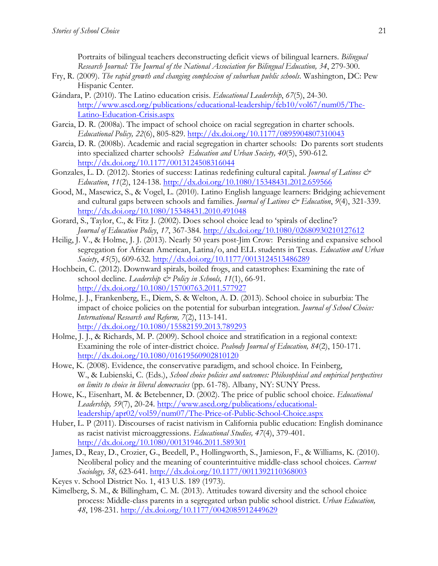Portraits of bilingual teachers deconstructing deficit views of bilingual learners. *Bilingual Research Journal: The Journal of the National Association for Bilingual Education, 34*, 279-300.

- Fry, R. (2009). *The rapid growth and changing complexion of suburban public schools*. Washington, DC: Pew Hispanic Center.
- Gándara, P. (2010). The Latino education crisis. *Educational Leadership*, *67*(5), 24-30. http://www.ascd.org/publications/educational-leadership/feb10/vol67/num05/The-Latino-Education-Crisis.aspx
- Garcia, D. R. (2008a). The impact of school choice on racial segregation in charter schools. *Educational Policy, 22*(6), 805-829. http://dx.doi.org/10.1177/0895904807310043
- Garcia, D. R. (2008b). Academic and racial segregation in charter schools: Do parents sort students into specialized charter schools? *Education and Urban Society, 40*(5), 590-612. http://dx.doi.org/10.1177/0013124508316044
- Gonzales, L. D. (2012). Stories of success: Latinas redefining cultural capital. *Journal of Latinos & Education*, *11*(2), 124-138. http://dx.doi.org/10.1080/15348431.2012.659566
- Good, M., Masewicz, S., & Vogel, L. (2010). Latino English language learners: Bridging achievement and cultural gaps between schools and families. *Journal of Latinos & Education*,  $9(4)$ , 321-339. http://dx.doi.org/10.1080/15348431.2010.491048
- Gorard, S., Taylor, C., & Fitz J. (2002). Does school choice lead to 'spirals of decline'? *Journal of Education Policy*, *17*, 367-384. http://dx.doi.org/10.1080/02680930210127612
- Heilig, J. V., & Holme, J. J. (2013). Nearly 50 years post-Jim Crow: Persisting and expansive school segregation for African American, Latina/o, and ELL students in Texas. *Education and Urban Society*, *45*(5), 609-632. http://dx.doi.org/10.1177/0013124513486289
- Hochbein, C. (2012). Downward spirals, boiled frogs, and catastrophes: Examining the rate of school decline. *Leadership & Policy in Schools*, 11(1), 66-91. http://dx.doi.org/10.1080/15700763.2011.577927
- Holme, J. J., Frankenberg, E., Diem, S. & Welton, A. D. (2013). School choice in suburbia: The impact of choice policies on the potential for suburban integration. *Journal of School Choice: International Research and Reform, 7*(2), 113-141. http://dx.doi.org/10.1080/15582159.2013.789293
- Holme, J. J., & Richards, M. P. (2009). School choice and stratification in a regional context: Examining the role of inter-district choice. *Peabody Journal of Education, 84*(2), 150-171. http://dx.doi.org/10.1080/01619560902810120
- Howe, K. (2008). Evidence, the conservative paradigm, and school choice. In Feinberg, W., & Lubienski, C. (Eds.), *School choice policies and outcomes: Philosophical and empirical perspectives on limits to choice in liberal democracies* (pp. 61-78). Albany, NY: SUNY Press.
- Howe, K., Eisenhart, M. & Betebenner, D. (2002). The price of public school choice. *Educational Leadership, 59*(7), 20-24. http://www.ascd.org/publications/educationalleadership/apr02/vol59/num07/The-Price-of-Public-School-Choice.aspx
- Huber, L. P (2011). Discourses of racist nativism in California public education: English dominance as racist nativist microaggressions. *Educational Studies, 47*(4), 379-401. http://dx.doi.org/10.1080/00131946.2011.589301
- James, D., Reay, D., Crozier, G., Beedell, P., Hollingworth, S., Jamieson, F., & Williams, K. (2010). Neoliberal policy and the meaning of counterintuitive middle-class school choices. *Current Sociology, 58*, 623-641. http://dx.doi.org/10.1177/0011392110368003
- Keyes v. School District No. 1, 413 U.S. 189 (1973).
- Kimelberg, S. M., & Billingham, C. M. (2013). Attitudes toward diversity and the school choice process: Middle-class parents in a segregated urban public school district. *Urban Education, 48*, 198-231. http://dx.doi.org/10.1177/0042085912449629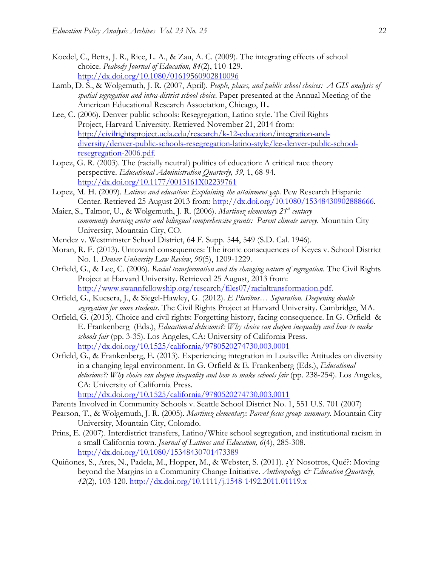- Koedel, C., Betts, J. R., Rice, L. A., & Zau, A. C. (2009). The integrating effects of school choice. *Peabody Journal of Education, 84*(2), 110-129. http://dx.doi.org/10.1080/01619560902810096
- Lamb, D. S., & Wolgemuth, J. R. (2007, April). *People, places, and public school choices: A GIS analysis of spatial segregation and intra-district school choice*. Paper presented at the Annual Meeting of the American Educational Research Association, Chicago, IL.
- Lee, C. (2006). Denver public schools: Resegregation, Latino style. The Civil Rights Project, Harvard University. Retrieved November 21, 2014 from: http://civilrightsproject.ucla.edu/research/k-12-education/integration-anddiversity/denver-public-schools-resegregation-latino-style/lee-denver-public-schoolresegregation-2006.pdf.
- Lopez, G. R. (2003). The (racially neutral) politics of education: A critical race theory perspective. *Educational Administration Quarterly, 39*, 1, 68-94. http://dx.doi.org/10.1177/0013161X02239761
- Lopez, M. H. (2009). *Latinos and education: Explaining the attainment gap*. Pew Research Hispanic Center. Retrieved 25 August 2013 from: http://dx.doi.org/10.1080/15348430902888666.
- Maier, S., Talmor, U., & Wolgemuth, J. R. (2006). *Martinez elementary 21<sup>st</sup> century community learning center and bilingual comprehensive grants: Parent climate survey*. Mountain City University, Mountain City, CO.
- Mendez v. Westminster School District, 64 F. Supp. 544, 549 (S.D. Cal. 1946).
- Moran, R. F. (2013). Untoward consequences: The ironic consequences of Keyes v. School District No. 1. *Denver University Law Review*, *90*(5), 1209-1229.
- Orfield, G., & Lee, C. (2006). *Racial transformation and the changing nature of segregation*. The Civil Rights Project at Harvard University. Retrieved 25 August, 2013 from: http://www.swannfellowship.org/research/files07/racialtransformation.pdf.
- Orfield, G., Kucsera, J., & Siegel-Hawley, G. (2012). *E Pluribus… Separation. Deepening double segregation for more students*. The Civil Rights Project at Harvard University. Cambridge, MA.
- Orfield, G. (2013). Choice and civil rights: Forgetting history, facing consequence. In G. Orfield & E. Frankenberg (Eds.), *Educational delusions?: Why choice can deepen inequality and how to make schools fair* (pp. 3-35). Los Angeles, CA: University of California Press. http://dx.doi.org/10.1525/california/9780520274730.003.0001
- Orfield, G., & Frankenberg, E. (2013). Experiencing integration in Louisville: Attitudes on diversity in a changing legal environment. In G. Orfield & E. Frankenberg (Eds.), *Educational delusions?: Why choice can deepen inequality and how to make schools fair* (pp. 238-254). Los Angeles, CA: University of California Press. http://dx.doi.org/10.1525/california/9780520274730.003.0011

Parents Involved in Community Schools v. Seattle School District No. 1, 551 U.S. 701 (2007)

- Pearson, T., & Wolgemuth, J. R. (2005). *Martinez elementary: Parent focus group summary*. Mountain City University, Mountain City, Colorado.
- Prins, E. (2007). Interdistrict transfers, Latino/White school segregation, and institutional racism in a small California town. *Journal of Latinos and Education, 6*(4), 285-308. http://dx.doi.org/10.1080/15348430701473389
- Quiñones, S., Ares, N., Padela, M., Hopper, M., & Webster, S. (2011). ¿Y Nosotros, Qué?: Moving beyond the Margins in a Community Change Initiative. *Anthropology & Education Quarterly*, *42*(2), 103-120. http://dx.doi.org/10.1111/j.1548-1492.2011.01119.x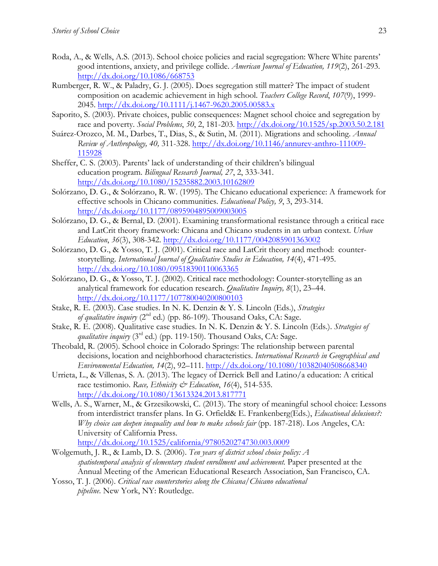- Roda, A., & Wells, A.S. (2013). School choice policies and racial segregation: Where White parents' good intentions, anxiety, and privilege collide. *American Journal of Education, 119*(2), 261-293. http://dx.doi.org/10.1086/668753
- Rumberger, R. W., & Paladry, G. J. (2005). Does segregation still matter? The impact of student composition on academic achievement in high school. *Teachers College Record*, *107*(9), 1999- 2045. http://dx.doi.org/10.1111/j.1467-9620.2005.00583.x
- Saporito, S. (2003). Private choices, public consequences: Magnet school choice and segregation by race and poverty. *Social Problems*, *50*, 2, 181-203. http://dx.doi.org/10.1525/sp.2003.50.2.181
- Suárez-Orozco, M. M., Darbes, T., Dias, S., & Sutin, M. (2011). Migrations and schooling. *Annual Review of Anthropology, 40,* 311-328. http://dx.doi.org/10.1146/annurev-anthro-111009- 115928
- Sheffer, C. S. (2003). Parents' lack of understanding of their children's bilingual education program. *Bilingual Research Journal, 27*, 2, 333-341. http://dx.doi.org/10.1080/15235882.2003.10162809
- Solórzano, D. G., & Solórzano, R. W. (1995). The Chicano educational experience: A framework for effective schools in Chicano communities. *Educational Policy, 9*, 3, 293-314. http://dx.doi.org/10.1177/0895904895009003005
- Solórzano, D. G., & Bernal, D. (2001). Examining transformational resistance through a critical race and LatCrit theory framework: Chicana and Chicano students in an urban context. *Urban Education*, *36*(3), 308-342. http://dx.doi.org/10.1177/0042085901363002
- Solórzano, D. G., & Yosso, T. J. (2001). Critical race and LatCrit theory and method: counterstorytelling. *International Journal of Qualitative Studies in Education, 14*(4), 471-495. http://dx.doi.org/10.1080/09518390110063365
- Solórzano, D. G., & Yosso, T. J. (2002). Critical race methodology: Counter-storytelling as an analytical framework for education research. *Qualitative Inquiry, 8*(1), 23–44. http://dx.doi.org/10.1177/107780040200800103
- Stake, R. E. (2003). Case studies. In N. K. Denzin & Y. S. Lincoln (Eds.), *Strategies of qualitative inquiry* (2nd ed.) (pp. 86-109). Thousand Oaks, CA: Sage.
- Stake, R. E. (2008). Qualitative case studies. In N. K. Denzin & Y. S. Lincoln (Eds.). *Strategies of qualitative inquiry* ( $3<sup>rd</sup>$  ed.) (pp. 119-150). Thousand Oaks, CA: Sage.
- Theobald, R. (2005). School choice in Colorado Springs: The relationship between parental decisions, location and neighborhood characteristics. *International Research in Geographical and Environmental Education, 14*(2), 92–111. http://dx.doi.org/10.1080/10382040508668340
- Urrieta, L., & Villenas, S. A. (2013). The legacy of Derrick Bell and Latino/a education: A critical race testimonio. *Race, Ethnicity & Education*, 16(4), 514-535. http://dx.doi.org/10.1080/13613324.2013.817771
- Wells, A. S., Warner, M., & Grzesikowski, C. (2013). The story of meaningful school choice: Lessons from interdistrict transfer plans. In G. Orfield& E. Frankenberg(Eds.), *Educational delusions?: Why choice can deepen inequality and how to make schools fair* (pp. 187-218). Los Angeles, CA: University of California Press.

http://dx.doi.org/10.1525/california/9780520274730.003.0009

- Wolgemuth, J. R., & Lamb, D. S. (2006). *Ten years of district school choice policy: A spatiotemporal analysis of elementary student enrollment and achievement.* Paper presented at the Annual Meeting of the American Educational Research Association, San Francisco, CA.
- Yosso, T. J. (2006). *Critical race counterstories along the Chicana/Chicano educational pipeline*. New York, NY: Routledge.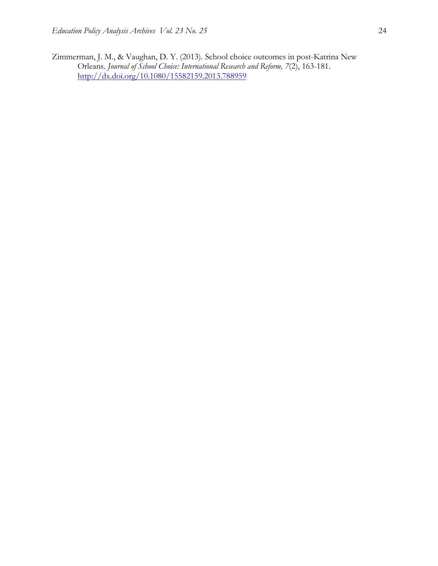Zimmerman, J. M., & Vaughan, D. Y. (2013). School choice outcomes in post-Katrina New Orleans. *Journal of School Choice: International Research and Reform, 7*(2), 163-181. http://dx.doi.org/10.1080/15582159.2013.788959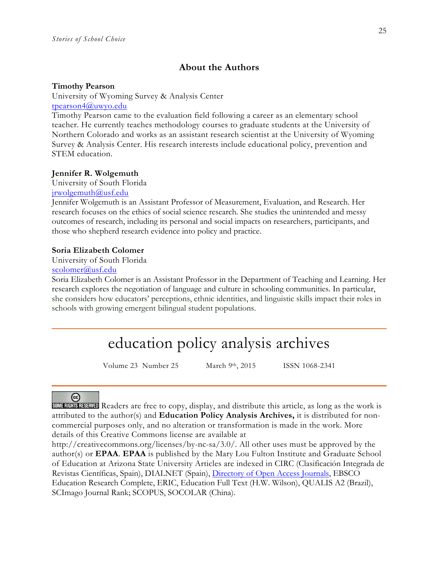## **About the Authors**

#### **Timothy Pearson**

University of Wyoming Survey & Analysis Center tpearson4@uwyo.edu

Timothy Pearson came to the evaluation field following a career as an elementary school teacher. He currently teaches methodology courses to graduate students at the University of Northern Colorado and works as an assistant research scientist at the University of Wyoming Survey & Analysis Center. His research interests include educational policy, prevention and STEM education.

#### **Jennifer R. Wolgemuth**

University of South Florida

jrwolgemuth@usf.edu

Jennifer Wolgemuth is an Assistant Professor of Measurement, Evaluation, and Research. Her research focuses on the ethics of social science research. She studies the unintended and messy outcomes of research, including its personal and social impacts on researchers, participants, and those who shepherd research evidence into policy and practice.

#### **Soria Elizabeth Colomer**

University of South Florida

#### scolomer@usf.edu

Soria Elizabeth Colomer is an Assistant Professor in the Department of Teaching and Learning. Her research explores the negotiation of language and culture in schooling communities. In particular, she considers how educators' perceptions, ethnic identities, and linguistic skills impact their roles in schools with growing emergent bilingual student populations.

## education policy analysis archives

Volume 23 Number 25 March 9th, 2015 ISSN 1068-2341

## @

SOME RIGHTS RESERVED Readers are free to copy, display, and distribute this article, as long as the work is attributed to the author(s) and **Education Policy Analysis Archives,** it is distributed for noncommercial purposes only, and no alteration or transformation is made in the work. More details of this Creative Commons license are available at

http://creativecommons.org/licenses/by-nc-sa/3.0/. All other uses must be approved by the author(s) or **EPAA**. **EPAA** is published by the Mary Lou Fulton Institute and Graduate School of Education at Arizona State University Articles are indexed in CIRC (Clasificación Integrada de Revistas Científicas, Spain), DIALNET (Spain), Directory of Open Access Journals, EBSCO Education Research Complete, ERIC, Education Full Text (H.W. Wilson), QUALIS A2 (Brazil), SCImago Journal Rank; SCOPUS, SOCOLAR (China).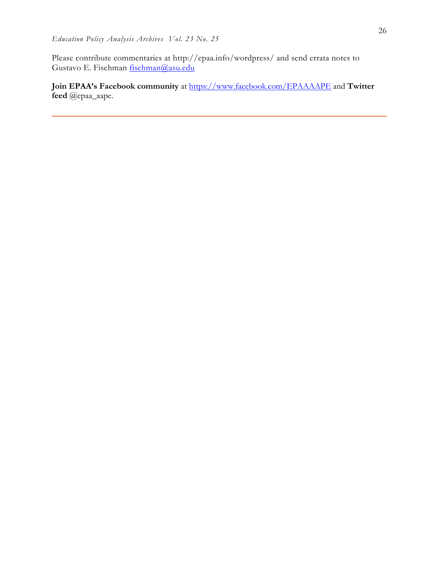Please contribute commentaries at http://epaa.info/wordpress/ and send errata notes to Gustavo E. Fischman fischman@asu.edu

**Join EPAA's Facebook community** at https://www.facebook.com/EPAAAAPE and **Twitter feed** @epaa\_aape.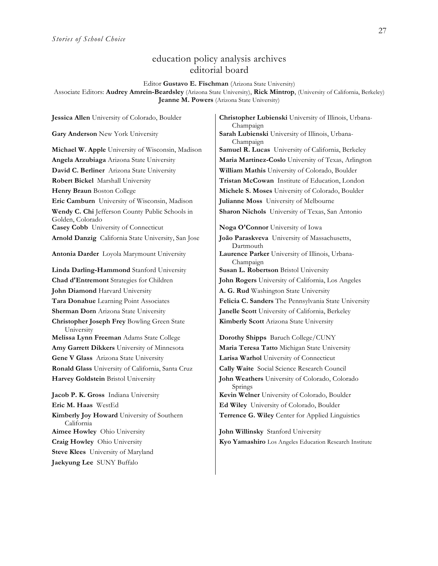## education policy analysis archives editorial board

Editor **Gustavo E. Fischman** (Arizona State University)

Associate Editors: **Audrey Amrein-Beardsley** (Arizona State University), **Rick Mintrop**, (University of California, Berkeley) **Jeanne M. Powers** (Arizona State University)

**David C. Berliner** Arizona State University **William Mathis** University of Colorado, Boulder **Robert Bickel** Marshall University **Tristan McCowan** Institute of Education, London **Henry Braun** Boston College **Michele S. Moses** University of Colorado, Boulder **Eric Camburn** University of Wisconsin, Madison **Julianne Moss** University of Melbourne **Wendy C. Chi** Jefferson County Public Schools in Golden, Colorado **Casey Cobb** University of Connecticut **Noga O'Connor** University of Iowa **Arnold Danzig** California State University, San Jose **João Paraskveva** University of Massachusetts, **Antonia Darder** Loyola Marymount University **Laurence Parker** University of Illinois, Urbana-**Linda Darling-Hammond** Stanford University | Susan L. Robertson Bristol University **Chad d'Entremont** Strategies for Children **John Rogers** University of California, Los Angeles **John Diamond** Harvard University **A. G. Rud** Washington State University

**Christopher Joseph Frey** Bowling Green State University

**Ronald Glass** University of California, Santa Cruz **Cally Waite** Social Science Research Council **Harvey Goldstein** Bristol University **John Weathers** University of Colorado, Colorado

**Eric M. Haas** WestEd **Ed Wiley** University of Colorado, Boulder **Kimberly Joy Howard** University of Southern California **Aimee Howley** Ohio University **John Willinsky** Stanford University **Steve Klees** University of Maryland **Jaekyung Lee** SUNY Buffalo

**Jessica Allen** University of Colorado, Boulder **Christopher Lubienski** University of Illinois, Urbana-Champaign **Gary Anderson** New York University **Sarah Lubienski** University of Illinois, Urbana-Champaign **Michael W. Apple** University of Wisconsin, Madison **Samuel R. Lucas** University of California, Berkeley **Angela Arzubiaga** Arizona State University **Maria Martinez-Coslo** University of Texas, Arlington **Sharon Nichols** University of Texas, San Antonio

Dartmouth Champaign **Tara Donahue** Learning Point Associates **Felicia C. Sanders** The Pennsylvania State University **Sherman Dorn** Arizona State University **Janelle Scott** University of California, Berkeley **Kimberly Scott** Arizona State University

**Melissa Lynn Freeman** Adams State College **Dorothy Shipps** Baruch College/CUNY **Amy Garrett Dikkers** University of Minnesota **Maria Teresa Tatto** Michigan State University **Gene V Glass** Arizona State University **Larisa Warhol** University of Connecticut Springs **Jacob P. K. Gross** Indiana University **Kevin Welner** University of Colorado, Boulder **Terrence G. Wiley** Center for Applied Linguistics

**Craig Howley** Ohio University **Kyo Yamashiro** Los Angeles Education Research Institute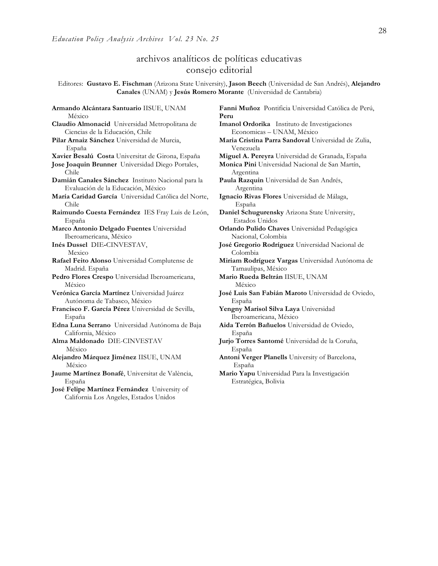## archivos analíticos de políticas educativas consejo editorial

Editores: **Gustavo E. Fischman** (Arizona State University), **Jason Beech** (Universidad de San Andrés), **Alejandro Canales** (UNAM) y **Jesús Romero Morante** (Universidad de Cantabria)

**Armando Alcántara Santuario** IISUE, UNAM México **Claudio Almonacid** Universidad Metropolitana de Ciencias de la Educación, Chile **Pilar Arnaiz Sánchez** Universidad de Murcia, España **Xavier Besalú Costa** Universitat de Girona, España **Miguel A. Pereyra** Universidad de Granada, España **Jose Joaquin Brunner** Universidad Diego Portales, Chile **Damián Canales Sánchez** Instituto Nacional para la Evaluación de la Educación, México **María Caridad García** Universidad Católica del Norte, Chile **Raimundo Cuesta Fernández** IES Fray Luis de León, España **Marco Antonio Delgado Fuentes** Universidad Iberoamericana, México **Inés Dussel** DIE**-**CINVESTAV, Mexico **Rafael Feito Alonso** Universidad Complutense de Madrid. España **Pedro Flores Crespo** Universidad Iberoamericana, México **Verónica García Martínez** Universidad Juárez Autónoma de Tabasco, México **Francisco F. García Pérez** Universidad de Sevilla, España **Edna Luna Serrano** Universidad Autónoma de Baja California, México **Alma Maldonado** DIE-CINVESTAV México **Alejandro Márquez Jiménez** IISUE, UNAM México **Jaume Martínez Bonafé**, Universitat de València, España

**José Felipe Martínez Fernández** University of California Los Angeles, Estados Unidos

**Fanni Muñoz** Pontificia Universidad Católica de Perú, **Peru Imanol Ordorika** Instituto de Investigaciones Economicas – UNAM, México **Maria Cristina Parra Sandoval** Universidad de Zulia, Venezuela **Monica Pini** Universidad Nacional de San Martín, Argentina **Paula Razquin** Universidad de San Andrés, Argentina **Ignacio Rivas Flores** Universidad de Málaga, España **Daniel Schugurensky** Arizona State University, Estados Unidos **Orlando Pulido Chaves** Universidad Pedagógica Nacional, Colombia **José Gregorio Rodríguez** Universidad Nacional de Colombia **Miriam Rodríguez Vargas** Universidad Autónoma de Tamaulipas, México **Mario Rueda Beltrán** IISUE, UNAM México **José Luis San Fabián Maroto** Universidad de Oviedo, España **Yengny Marisol Silva Laya** Universidad Iberoamericana, México **Aida Terrón Bañuelos** Universidad de Oviedo, España **Jurjo Torres Santomé** Universidad de la Coruña, España **Antoni Verger Planells** University of Barcelona, España **Mario Yapu** Universidad Para la Investigación Estratégica, Bolivia